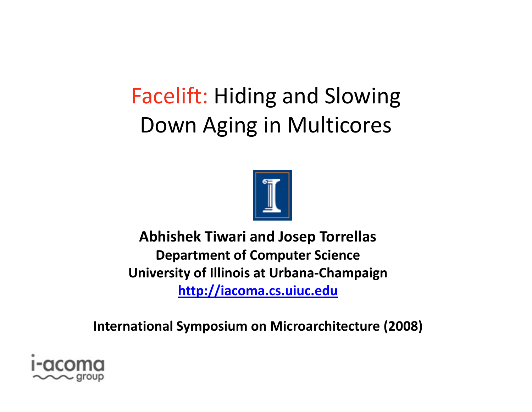**Facelift: Hiding and Slowing** Down Aging in Multicores



**Abhishek Tiwari and Josep Torrellas Department of Computer Science University of Illinois at Urbana-Champaign** http://iacoma.cs.uiuc.edu

**International Symposium on Microarchitecture (2008)** 

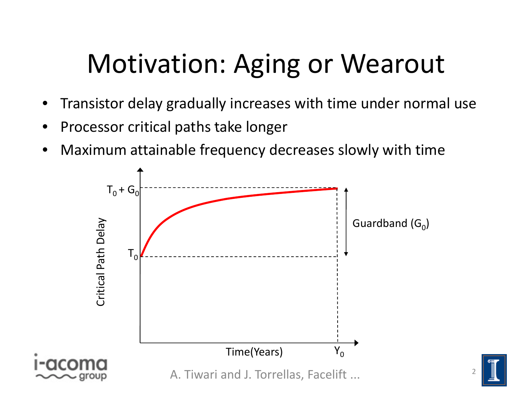## Motivation: Aging or Wearout

- •Transistor delay gradually increases with time under normal use
- •Processor critical paths take longer
- •Maximum attainable frequency decreases slowly with time



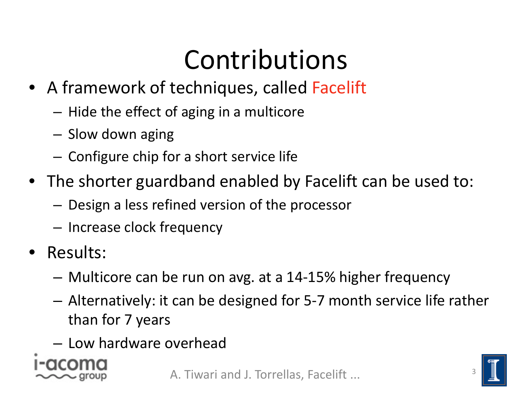### Contributions

- A framework of techniques, called Facelift
	- – $-$  Hide the effect of aging in a multicore
	- Slow down aging
	- – $-$  Configure chip for a short service life
- The shorter guardband enabled by Facelift can be used to:
	- – $-$  Design a less refined version of the processor
	- – $-$  Increase clock frequency
- $\bullet$  Results:
	- Multicore can be run on avg. at a 14-15% higher frequency
	- Alternatively: it can be designed for 5‐7 month service life rather than for 7 years
	- Low hardware overhead



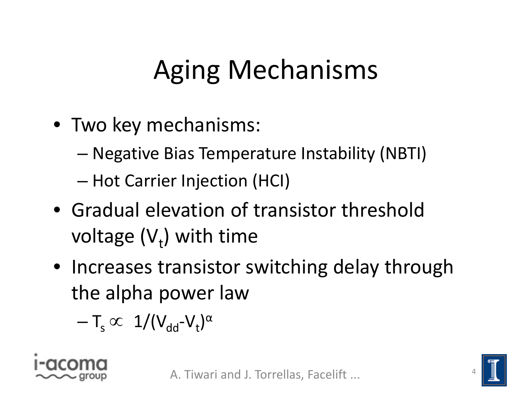# Aging Mechanisms

- Two key mechanisms:
	- –Negative Bias Temperature Instability (NBTI)
	- –— Hot Carrier Injection (HCI)
- Gradual elevation of transistor threshold voltage  $(V<sub>t</sub>)$  with time
- Increases transistor switching delay through the alpha power law

– $-\mathsf{T}_\mathrm{s} \varpropto\ 1/(\mathsf{V}_{\mathsf{dd}}\mathsf{-V}_{\mathsf{t}})^\alpha$ 



4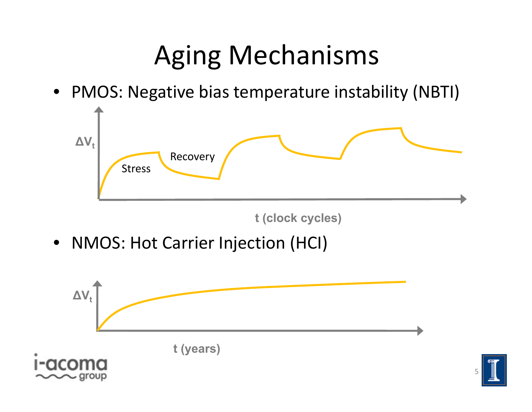### Aging Mechanisms

• PMOS: Negative bias temperature instability (NBTI)



**t (clock cycles)**

• NMOS: Hot Carrier Injection (HCI)



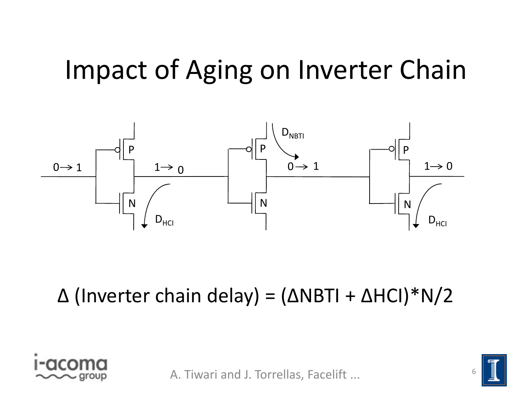### Impact of Aging on Inverter Chain



#### Δ (Inverter chain delay) <sup>=</sup> (ΔNBTI <sup>+</sup> ΔHCI)\*N/2



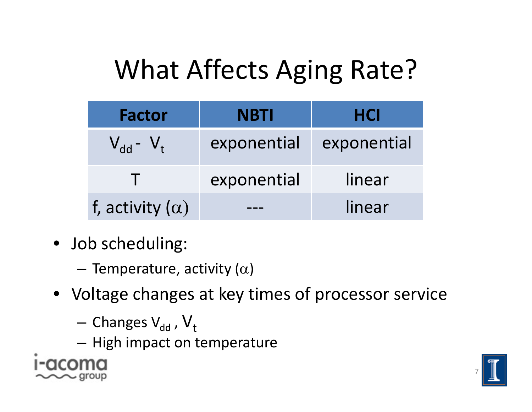# What Affects Aging Rate?

| <b>Factor</b>          | <b>NBTI</b> | <b>HCI</b>  |
|------------------------|-------------|-------------|
| $V_{dd}$ - $V_t$       | exponential | exponential |
|                        | exponential | linear      |
| f, activity $(\alpha)$ |             | linear      |

- Job scheduling:
	- – $-$  Temperature, activity ( $\alpha$ )
- Voltage changes at key times of processor service
	- – $-$  Changes V $_{\rm dd}$  ,  ${\sf V}_{\rm t}$
	- $-$  High impact on temperature



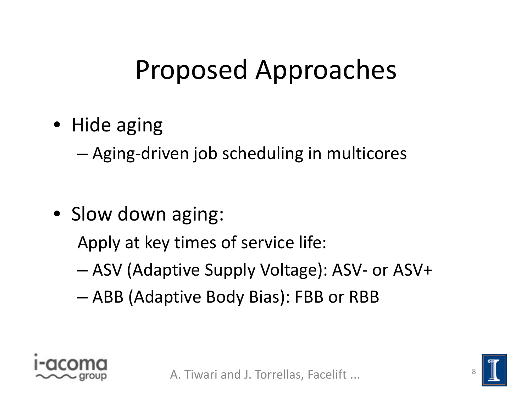### Proposed Approaches

• Hide aging

–Aging‐driven job scheduling in multicores

• Slow down aging:

Apply at key times of service life:

- ASV (Adaptive Supply Voltage): ASV‐ or ASV+
- –ABB (Adaptive Body Bias): FBB or RBB



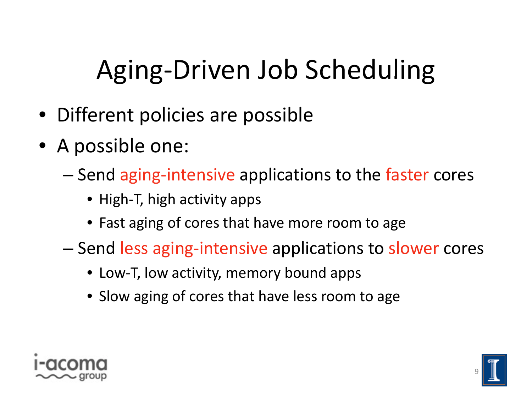# Aging‐Driven Job Scheduling

- Different policies are possible
- A possible one:
	- –— Send aging-intensive applications to the faster cores
		- High‐T, high activity apps
		- Fast aging of cores that have more room to age
	- –— Send less aging-intensive applications to slower cores
		- Low‐T, low activity, memory bound apps
		- Slow aging of cores that have less room to age



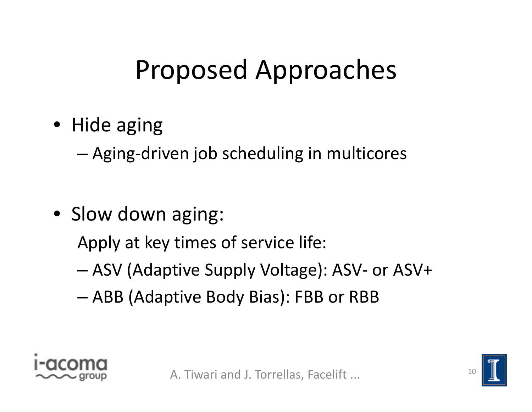### Proposed Approaches

• Hide aging

–Aging‐driven job scheduling in multicores

• Slow down aging:

Apply at key times of service life:

- ASV (Adaptive Supply Voltage): ASV‐ or ASV+
- –ABB (Adaptive Body Bias): FBB or RBB



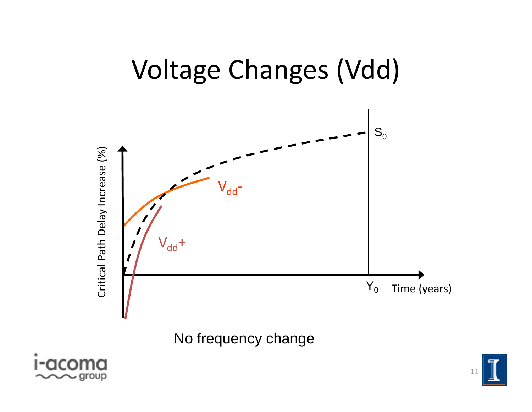

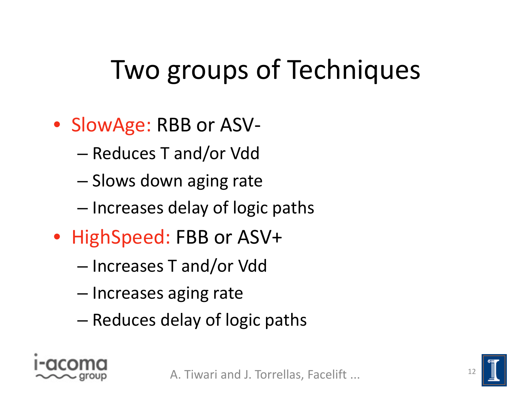# Two groups of Techniques

- SlowAge: RBB or ASV‐
	- –Reduces T and/or Vdd
	- –– Slows down aging rate
	- Increases delay of logic paths
- HighSpeed: FBB or ASV+
	- –Increases T and/or Vdd
	- Increases aging rate
	- –– Reduces delay of logic paths



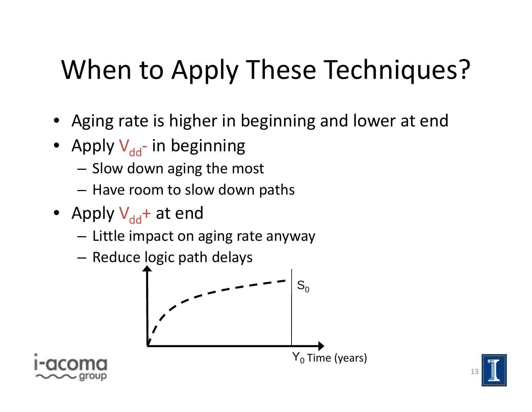# When to Apply These Techniques?

- Aging rate is higher in beginning and lower at end
- Apply V<sub>dd</sub>- in beginning
	- Slow down aging the most
	- Have room to slow down paths
- Apply V<sub>dd</sub>+ at end
	- $-$  Little impact on aging rate anyway
	- $-$  Reduce logic path delays





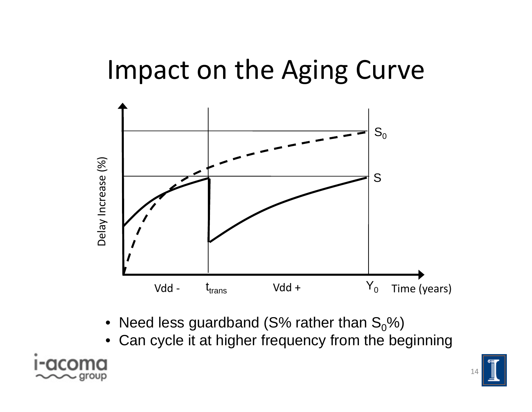#### Impact on the Aging Curve



- Need less guardband (S% rather than  $\rm S_{0}\%$ )
- $\bullet~$  Can cycle it at higher frequency from the beginning  $\bullet$



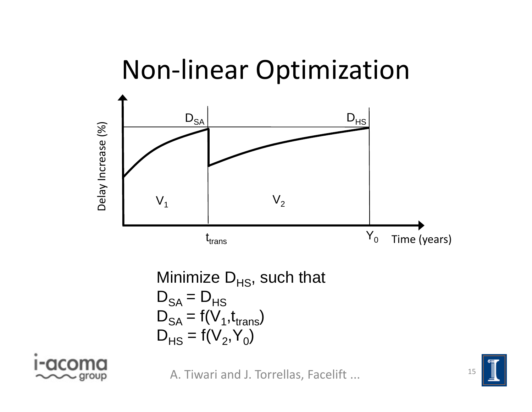

Minimize 
$$
D_{HS}
$$
, such that  
\n $D_{SA} = D_{HS}$   
\n $D_{SA} = f(V_1, t_{trans})$   
\n $D_{HS} = f(V_2, Y_0)$ 



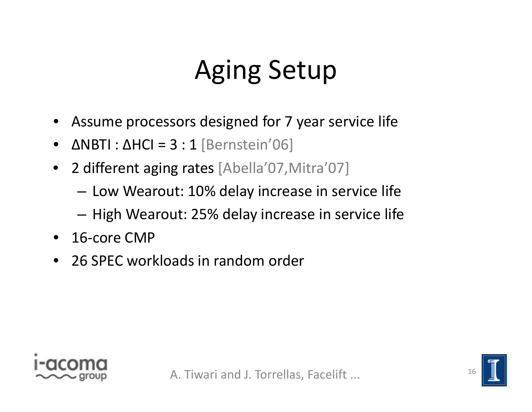### Aging Setup

- Assume processors designed for 7 year service life
- $\bullet$  $\bullet$   $\Delta$ NBTI :  $\Delta$ HCI = 3 : 1 [Bernstein'06]
- 22 different aging rates [Abella'07, Mitra'07]
	- Low Wearout: 10% delay increase in service life
	- High Wearout: 25% delay increase in service life
- 16‐core CMP
- 26 SPEC workloads in random order

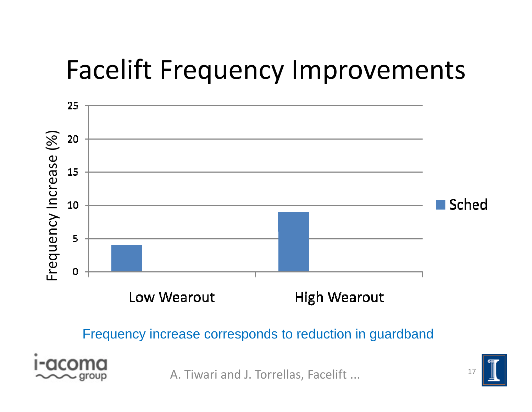

Frequency increase corresponds to reduction in guardband



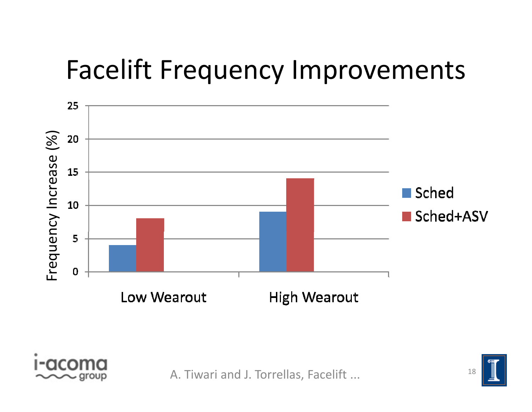



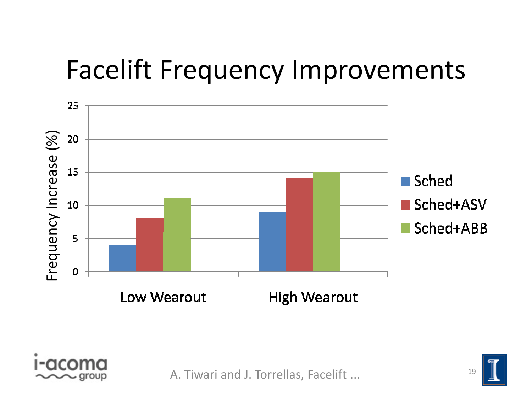



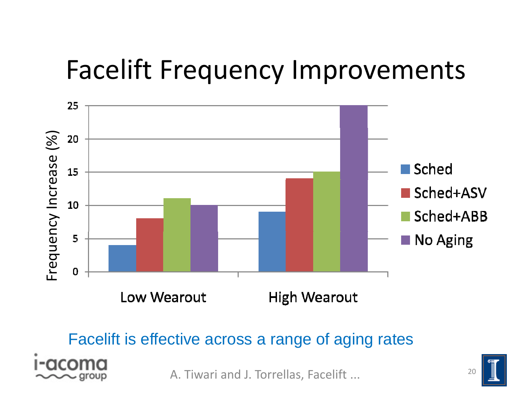



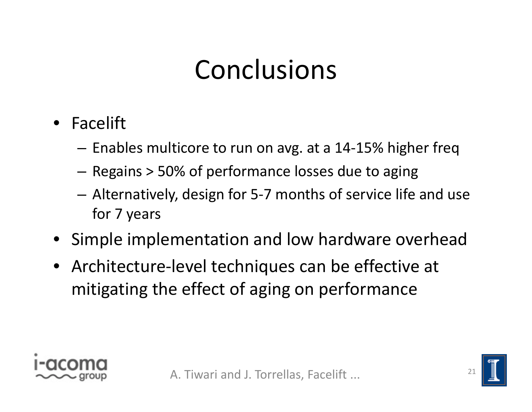### Conclusions

- Facelift
	- – $-$  Enables multicore to run on avg. at a 14-15% higher freq
	- – $-$  Regains > 50% of performance losses due to aging
	- – Alternatively, design for 5‐7 months of service life and use for 7 years
- Simple implementation and low hardware overhead
- Architecture‐level techniques can be effective at mitigating the effect of aging on performance



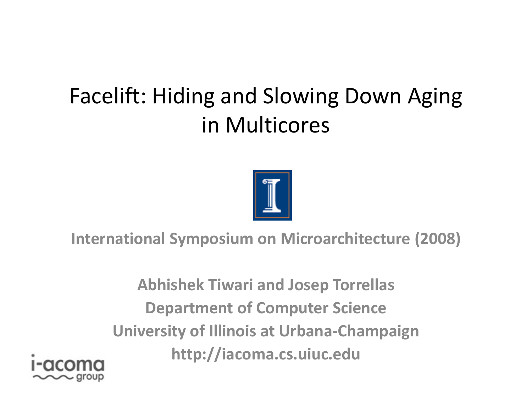#### Facelift: Hiding and Slowing Down Aging in Multicores



**International Symposium on Microarchitecture (2008)**

**Abhishek Tiwari and Josep Torrellas Department of Computer Science University of Illinois at Urbana‐Champaign http://iacoma.cs.uiuc.edu**

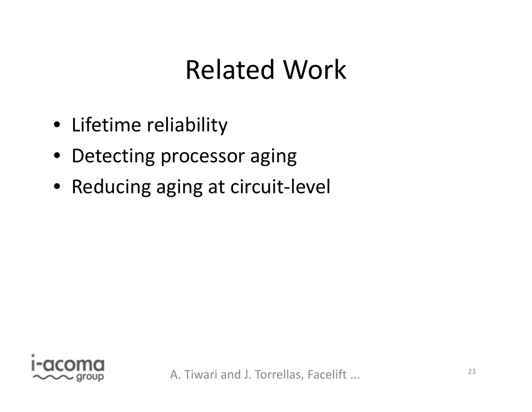### Related Work

- Lifetime reliability
- Detecting processor aging
- Reducing aging at circuit-level

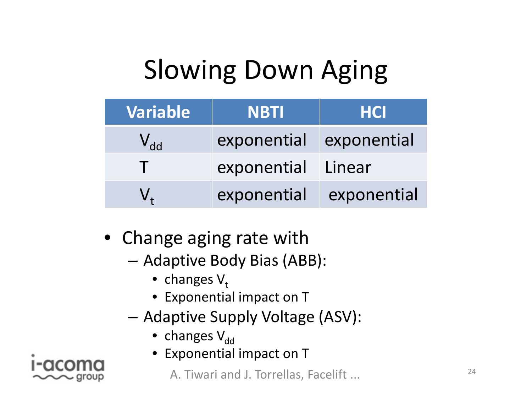# Slowing Down Aging

| Variable | <b>NBTI</b>        | <b>HCI</b>  |
|----------|--------------------|-------------|
| $V_{dd}$ | exponential        | exponential |
|          | exponential Linear |             |
|          | exponential        | exponential |

- $\bullet$  Change aging rate with
	- – Adaptive Body Bias (ABB):
		- changes  $\mathsf{V_{t}}$
		- Exponential impact on T
	- – Adaptive Supply Voltage (ASV):
		- changes  $\mathsf{V}_{\mathsf{dd}}$
		- Exponential impact on T

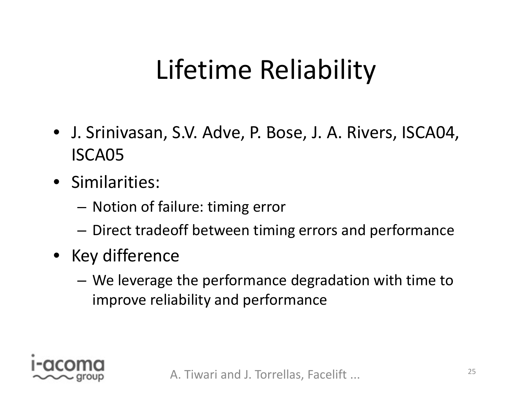### Lifetime Reliability

- J. Srinivasan, S.V. Adve, P. Bose, J. A. Rivers, ISCA04, ISCA05
- Similarities:
	- $-$  Notion of failure: timing error
	- Direct tradeoff between timing errors and performance
- Key difference
	- We leverage the performance degradation with time to improve reliability and performance

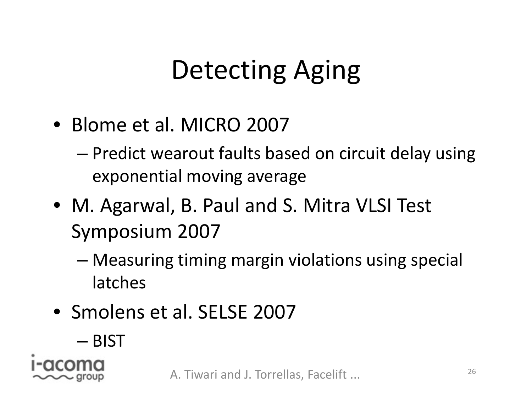## Detecting Aging

- Blome et al. MICRO 2007
	- – Predict wearout faults based on circuit delay using exponential moving average
- M. Agarwal, B. Paul and S. Mitra VLSI Test Symposium 2007
	- – Measuring timing margin violations using special latches
- Smolens et al. SELSE 2007
	- BIST

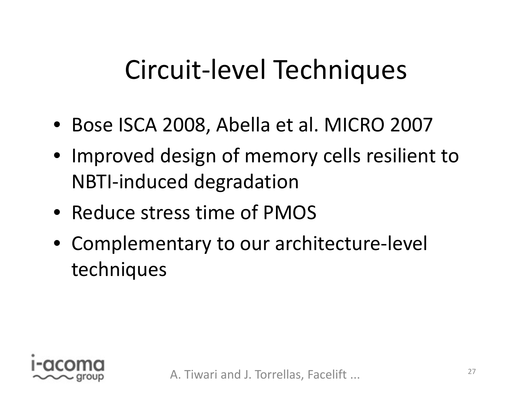### Circuit‐level Techniques

- Bose ISCA 2008, Abella et al. MICRO 2007
- Improved design of memory cells resilient to NBTI‐induced degradation
- Reduce stress time of PMOS
- Complementary to our architecture‐level techniques

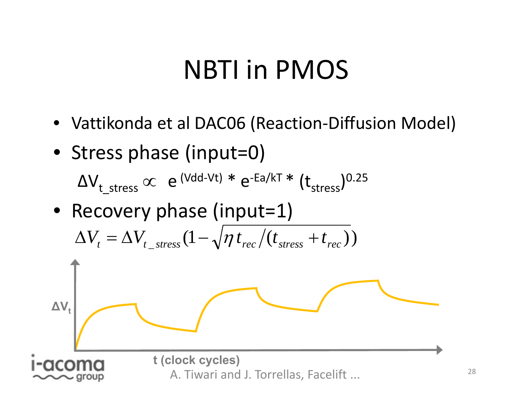#### NBTI in PMOS

- Vattikonda et al DAC06 (Reaction‐Diffusion Model)
- Stress phase (input=0)

 $\Delta \rm V_{t\_stress} \varpropto ~e^{\rm (Vdd-Vt)}$   $*$   $e^{\text{-Ea/kT}}$   $*$   $(t_{\rm stress})^{0.25}$ 

• Recovery phase (input=1)

$$
\Delta V_t = \Delta V_{t\_stress} (1 - \sqrt{\eta t_{rec}} / (t_{stress} + t_{rec}))
$$

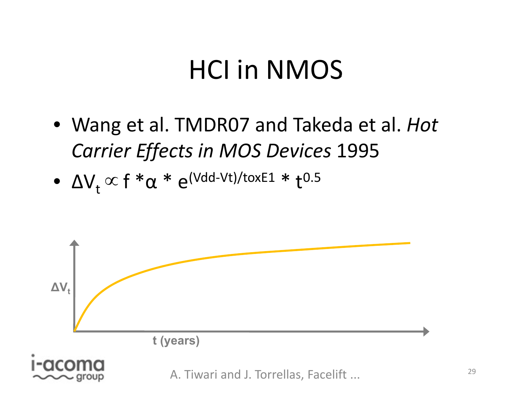#### HCI in NMOS

- Wang et al. TMDR07 and Takeda et al. *Hot Carrier Effects in MOS Devices* 1995
- $\bullet~~\Delta\mathsf{V}_\mathsf{t}\propto\mathsf{f}~{}^*\alpha~{}^*\mathrm{e}^{(\mathsf{Vdd-Vt})/\mathsf{tox}\mathsf{E1}}~{}^*\mathsf{t}^{0.5}$